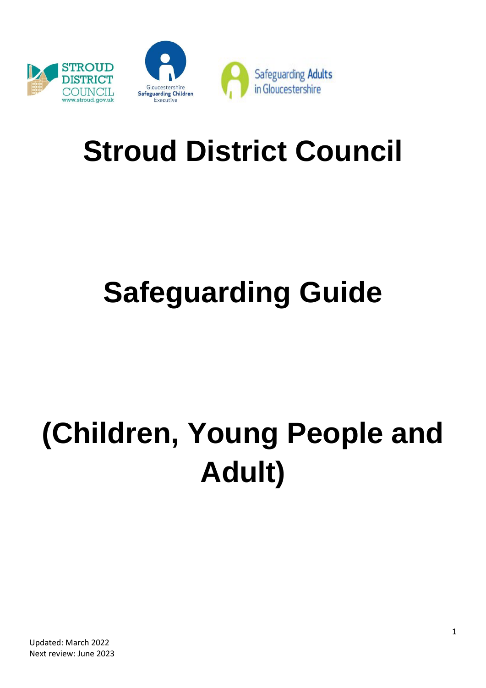

# **Stroud District Council**

# **Safeguarding Guide**

# **(Children, Young People and Adult)**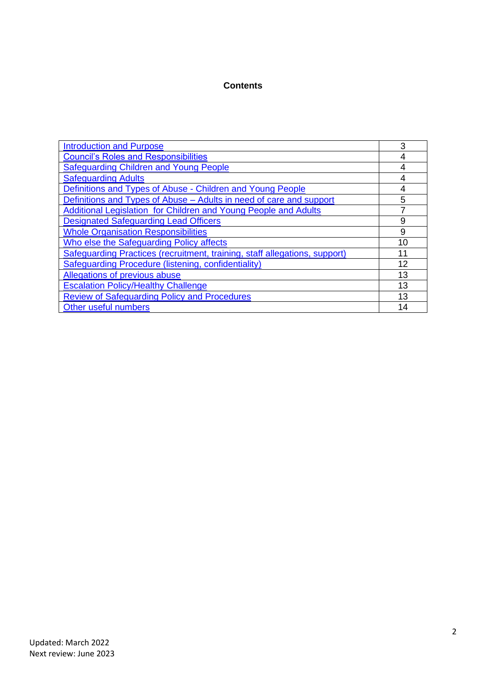#### **Contents**

| <b>Introduction and Purpose</b>                                            | 3  |
|----------------------------------------------------------------------------|----|
| <b>Council's Roles and Responsibilities</b>                                | 4  |
| Safeguarding Children and Young People                                     | 4  |
| <b>Safeguarding Adults</b>                                                 | 4  |
| Definitions and Types of Abuse - Children and Young People                 | 4  |
| Definitions and Types of Abuse – Adults in need of care and support        | 5  |
| Additional Legislation for Children and Young People and Adults            | 7  |
| <b>Designated Safeguarding Lead Officers</b>                               | 9  |
| <b>Whole Organisation Responsibilities</b>                                 | 9  |
| Who else the Safeguarding Policy affects                                   | 10 |
| Safeguarding Practices (recruitment, training, staff allegations, support) | 11 |
| <b>Safeguarding Procedure (listening, confidentiality)</b>                 | 12 |
| Allegations of previous abuse                                              | 13 |
| <b>Escalation Policy/Healthy Challenge</b>                                 | 13 |
| <b>Review of Safeguarding Policy and Procedures</b>                        | 13 |
| Other useful numbers                                                       | 14 |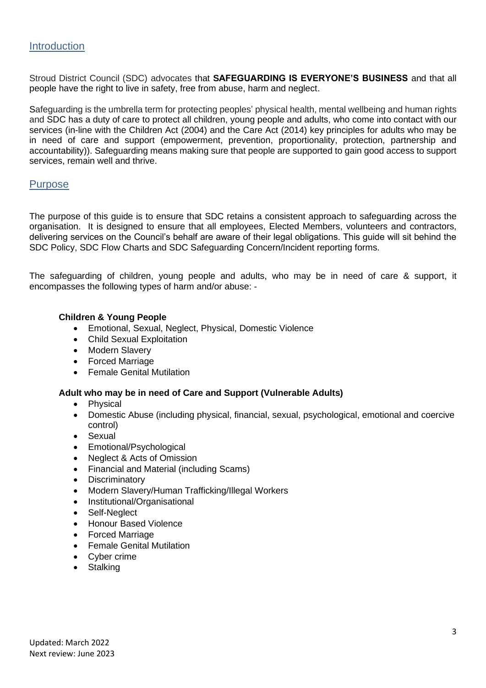# <span id="page-2-0"></span>**Introduction**

Stroud District Council (SDC) advocates that **SAFEGUARDING IS EVERYONE'S BUSINESS** and that all people have the right to live in safety, free from abuse, harm and neglect.

Safeguarding is the umbrella term for protecting peoples' physical health, mental wellbeing and human rights and SDC has a duty of care to protect all children, young people and adults, who come into contact with our services (in-line with the Children Act (2004) and the Care Act (2014) key principles for adults who may be in need of care and support (empowerment, prevention, proportionality, protection, partnership and accountability)). Safeguarding means making sure that people are supported to gain good access to support services, remain well and thrive.

# **Purpose**

The purpose of this guide is to ensure that SDC retains a consistent approach to safeguarding across the organisation. It is designed to ensure that all employees, Elected Members, volunteers and contractors, delivering services on the Council's behalf are aware of their legal obligations. This guide will sit behind the SDC Policy, SDC Flow Charts and SDC Safeguarding Concern/Incident reporting forms.

The safeguarding of children, young people and adults, who may be in need of care & support, it encompasses the following types of harm and/or abuse: -

#### **Children & Young People**

- Emotional, Sexual, Neglect, Physical, Domestic Violence
- Child Sexual Exploitation
- Modern Slavery
- Forced Marriage
- Female Genital Mutilation

# **Adult who may be in need of Care and Support (Vulnerable Adults)**

- Physical
- Domestic Abuse (including physical, financial, sexual, psychological, emotional and coercive control)
- Sexual
- Emotional/Psychological
- Neglect & Acts of Omission
- Financial and Material (including Scams)
- Discriminatory
- Modern Slavery/Human Trafficking/Illegal Workers
- Institutional/Organisational
- Self-Neglect
- Honour Based Violence
- Forced Marriage
- Female Genital Mutilation
- Cyber crime
- Stalking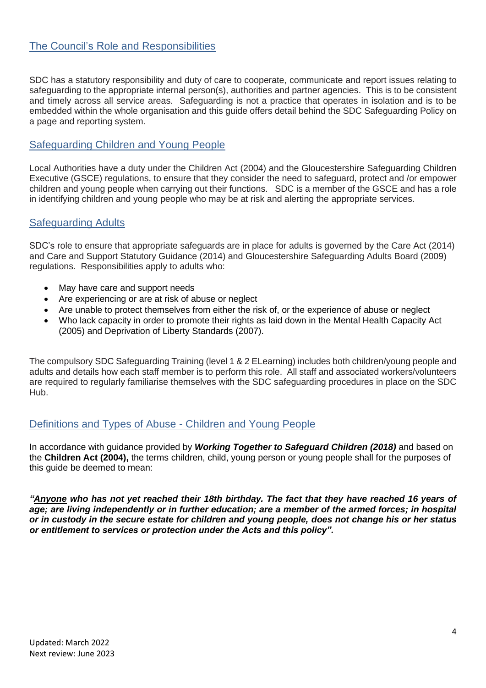# <span id="page-3-0"></span>The Council's Role and Responsibilities

SDC has a statutory responsibility and duty of care to cooperate, communicate and report issues relating to safeguarding to the appropriate internal person(s), authorities and partner agencies. This is to be consistent and timely across all service areas. Safeguarding is not a practice that operates in isolation and is to be embedded within the whole organisation and this guide offers detail behind the SDC Safeguarding Policy on a page and reporting system.

# <span id="page-3-1"></span>Safeguarding Children and Young People

Local Authorities have a duty under the Children Act (2004) and the Gloucestershire Safeguarding Children Executive (GSCE) regulations, to ensure that they consider the need to safeguard, protect and /or empower children and young people when carrying out their functions. SDC is a member of the GSCE and has a role in identifying children and young people who may be at risk and alerting the appropriate services.

# <span id="page-3-2"></span>Safeguarding Adults

SDC's role to ensure that appropriate safeguards are in place for adults is governed by the Care Act (2014) and Care and Support Statutory Guidance (2014) and Gloucestershire Safeguarding Adults Board (2009) regulations. Responsibilities apply to adults who:

- May have care and support needs
- Are experiencing or are at risk of abuse or neglect
- Are unable to protect themselves from either the risk of, or the experience of abuse or neglect
- Who lack capacity in order to promote their rights as laid down in the Mental Health Capacity Act (2005) and Deprivation of Liberty Standards (2007).

The compulsory SDC Safeguarding Training (level 1 & 2 ELearning) includes both children/young people and adults and details how each staff member is to perform this role. All staff and associated workers/volunteers are required to regularly familiarise themselves with the SDC safeguarding procedures in place on the SDC Hub.

# <span id="page-3-3"></span>Definitions and Types of Abuse - Children and Young People

In accordance with guidance provided by *Working Together to Safeguard Children (2018)* and based on the **Children Act (2004),** the terms children, child, young person or young people shall for the purposes of this guide be deemed to mean:

*"Anyone who has not yet reached their 18th birthday. The fact that they have reached 16 years of age; are living independently or in further education; are a member of the armed forces; in hospital or in custody in the secure estate for children and young people, does not change his or her status or entitlement to services or protection under the Acts and this policy".*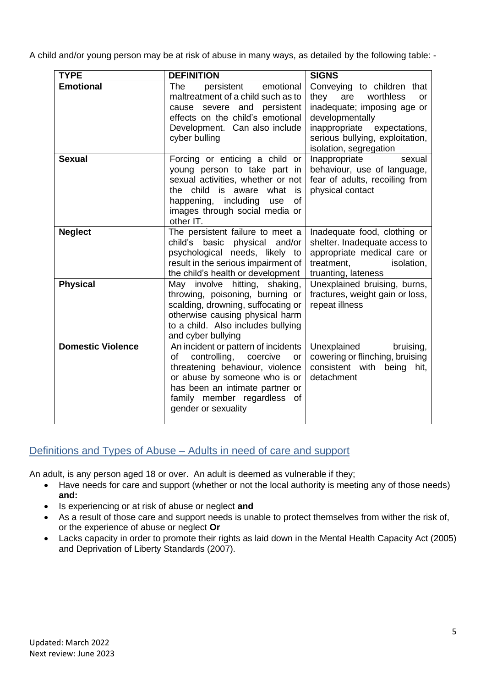A child and/or young person may be at risk of abuse in many ways, as detailed by the following table: -

| <b>TYPE</b>              | <b>DEFINITION</b>                                                                                                                                                                                                                        | <b>SIGNS</b>                                                                                                                                                                                                  |
|--------------------------|------------------------------------------------------------------------------------------------------------------------------------------------------------------------------------------------------------------------------------------|---------------------------------------------------------------------------------------------------------------------------------------------------------------------------------------------------------------|
| <b>Emotional</b>         | The<br>persistent<br>emotional<br>maltreatment of a child such as to<br>cause severe and<br>persistent<br>effects on the child's emotional<br>Development. Can also include<br>cyber bulling                                             | Conveying to children that<br>worthless<br>they<br>are<br>or<br>inadequate; imposing age or<br>developmentally<br>inappropriate<br>expectations,<br>serious bullying, exploitation,<br>isolation, segregation |
| <b>Sexual</b>            | Forcing or enticing a child or<br>young person to take part in<br>sexual activities, whether or not<br>the child is aware what<br>is<br>happening, including<br>of<br>use<br>images through social media or<br>other IT.                 | Inappropriate<br>sexual<br>behaviour, use of language,<br>fear of adults, recoiling from<br>physical contact                                                                                                  |
| <b>Neglect</b>           | The persistent failure to meet a<br>child's basic physical and/or<br>psychological needs, likely to<br>result in the serious impairment of<br>the child's health or development                                                          | Inadequate food, clothing or<br>shelter. Inadequate access to<br>appropriate medical care or<br>treatment,<br>isolation,<br>truanting, lateness                                                               |
| <b>Physical</b>          | May involve hitting, shaking,<br>throwing, poisoning, burning or<br>scalding, drowning, suffocating or<br>otherwise causing physical harm<br>to a child. Also includes bullying<br>and cyber bullying                                    | Unexplained bruising, burns,<br>fractures, weight gain or loss,<br>repeat illness                                                                                                                             |
| <b>Domestic Violence</b> | An incident or pattern of incidents<br>controlling,<br>coercive<br>оf<br>or<br>threatening behaviour, violence<br>or abuse by someone who is or<br>has been an intimate partner or<br>family member regardless of<br>gender or sexuality | Unexplained<br>bruising,<br>cowering or flinching, bruising<br>consistent with<br>being<br>hit,<br>detachment                                                                                                 |

# <span id="page-4-0"></span>Definitions and Types of Abuse – Adults in need of care and support

An adult, is any person aged 18 or over. An adult is deemed as vulnerable if they;

- Have needs for care and support (whether or not the local authority is meeting any of those needs) **and:**
- Is experiencing or at risk of abuse or neglect **and**
- As a result of those care and support needs is unable to protect themselves from wither the risk of, or the experience of abuse or neglect **Or**
- Lacks capacity in order to promote their rights as laid down in the Mental Health Capacity Act (2005) and Deprivation of Liberty Standards (2007).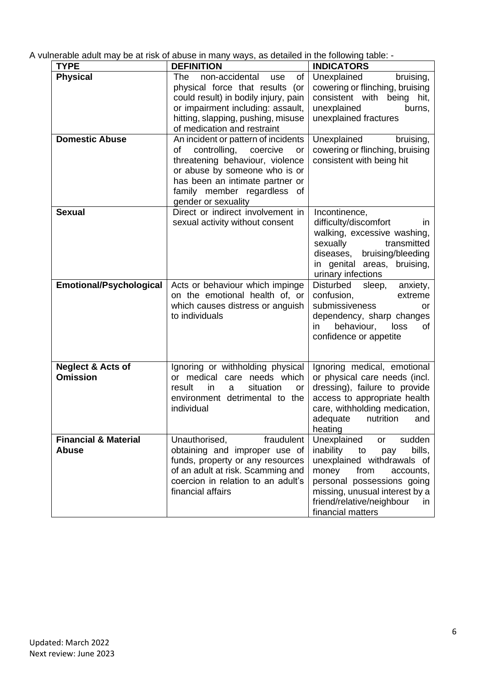A vulnerable adult may be at risk of abuse in many ways, as detailed in the following table: -

| <b>TYPE</b>                                     | <b>DEFINITION</b>                                                                                                                                                                                                                        | <b>INDICATORS</b>                                                                                                                                                                                                                                           |
|-------------------------------------------------|------------------------------------------------------------------------------------------------------------------------------------------------------------------------------------------------------------------------------------------|-------------------------------------------------------------------------------------------------------------------------------------------------------------------------------------------------------------------------------------------------------------|
| <b>Physical</b>                                 | non-accidental<br>The<br>of<br>use<br>physical force that results (or<br>could result) in bodily injury, pain<br>or impairment including: assault,<br>hitting, slapping, pushing, misuse<br>of medication and restraint                  | Unexplained<br>bruising,<br>cowering or flinching, bruising<br>consistent with<br>being hit,<br>unexplained<br>burns,<br>unexplained fractures                                                                                                              |
| <b>Domestic Abuse</b>                           | An incident or pattern of incidents<br>controlling,<br>coercive<br>оf<br>or<br>threatening behaviour, violence<br>or abuse by someone who is or<br>has been an intimate partner or<br>family member regardless of<br>gender or sexuality | Unexplained<br>bruising,<br>cowering or flinching, bruising<br>consistent with being hit                                                                                                                                                                    |
| <b>Sexual</b>                                   | Direct or indirect involvement in<br>sexual activity without consent                                                                                                                                                                     | Incontinence,<br>difficulty/discomfort<br>$\mathsf{I}$<br>walking, excessive washing,<br>transmitted<br>sexually<br>diseases, bruising/bleeding<br>in genital areas, bruising,<br>urinary infections                                                        |
| <b>Emotional/Psychological</b>                  | Acts or behaviour which impinge<br>on the emotional health of, or<br>which causes distress or anguish<br>to individuals                                                                                                                  | Disturbed<br>sleep,<br>anxiety,<br>confusion,<br>extreme<br>submissiveness<br>or<br>dependency, sharp changes<br>behaviour,<br>loss<br>οf<br>in.<br>confidence or appetite                                                                                  |
| <b>Neglect &amp; Acts of</b><br><b>Omission</b> | Ignoring or withholding physical<br>or medical care needs which<br>result<br>in<br>situation<br>a<br><b>or</b><br>environment detrimental to the<br>individual                                                                           | Ignoring medical, emotional<br>or physical care needs (incl.<br>dressing), failure to provide<br>access to appropriate health<br>care, withholding medication,<br>nutrition<br>adequate<br>and<br>heating                                                   |
| <b>Financial &amp; Material</b><br><b>Abuse</b> | Unauthorised,<br>fraudulent<br>obtaining and improper use of<br>funds, property or any resources<br>of an adult at risk. Scamming and<br>coercion in relation to an adult's<br>financial affairs                                         | sudden<br>Unexplained<br><b>or</b><br>bills,<br>inability<br>to<br>pay<br>unexplained withdrawals of<br>money<br>from<br>accounts,<br>personal possessions going<br>missing, unusual interest by a<br>friend/relative/neighbour<br>in.<br>financial matters |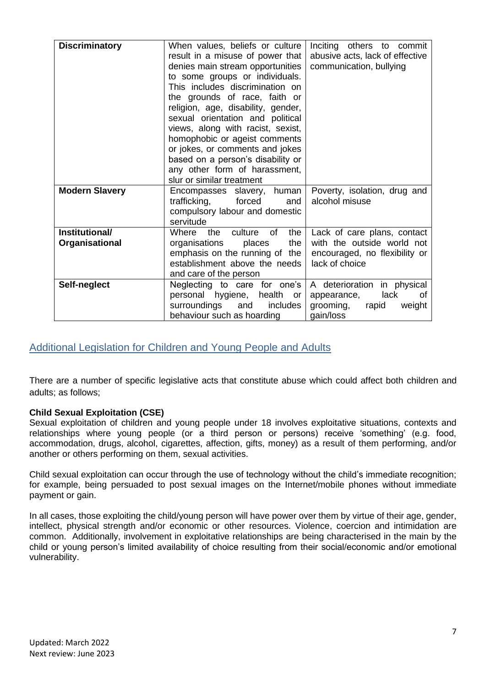| <b>Discriminatory</b> | When values, beliefs or culture<br>result in a misuse of power that<br>denies main stream opportunities<br>to some groups or individuals.<br>This includes discrimination on<br>the grounds of race, faith or<br>religion, age, disability, gender,<br>sexual orientation and political<br>views, along with racist, sexist,<br>homophobic or ageist comments<br>or jokes, or comments and jokes<br>based on a person's disability or<br>any other form of harassment,<br>slur or similar treatment | Inciting others to commit<br>abusive acts, lack of effective<br>communication, bullying |
|-----------------------|-----------------------------------------------------------------------------------------------------------------------------------------------------------------------------------------------------------------------------------------------------------------------------------------------------------------------------------------------------------------------------------------------------------------------------------------------------------------------------------------------------|-----------------------------------------------------------------------------------------|
| <b>Modern Slavery</b> | Encompasses slavery, human<br>trafficking,<br>forced<br>and<br>compulsory labour and domestic<br>servitude                                                                                                                                                                                                                                                                                                                                                                                          | Poverty, isolation, drug and<br>alcohol misuse                                          |
| Institutional/        | culture<br><b>of</b><br>the<br>the<br><b>Where</b>                                                                                                                                                                                                                                                                                                                                                                                                                                                  | Lack of care plans, contact                                                             |
| Organisational        | organisations<br>places<br>the                                                                                                                                                                                                                                                                                                                                                                                                                                                                      | with the outside world not                                                              |
|                       | emphasis on the running of the                                                                                                                                                                                                                                                                                                                                                                                                                                                                      | encouraged, no flexibility or                                                           |
|                       | establishment above the needs                                                                                                                                                                                                                                                                                                                                                                                                                                                                       | lack of choice                                                                          |
|                       | and care of the person                                                                                                                                                                                                                                                                                                                                                                                                                                                                              |                                                                                         |
| Self-neglect          | Neglecting to care for one's                                                                                                                                                                                                                                                                                                                                                                                                                                                                        | A deterioration in physical                                                             |
|                       | personal hygiene, health<br>or                                                                                                                                                                                                                                                                                                                                                                                                                                                                      | lack<br>appearance,<br>0f                                                               |
|                       | surroundings<br>includes<br>and                                                                                                                                                                                                                                                                                                                                                                                                                                                                     | grooming,<br>weight<br>rapid                                                            |
|                       | behaviour such as hoarding                                                                                                                                                                                                                                                                                                                                                                                                                                                                          | gain/loss                                                                               |

# <span id="page-6-0"></span>Additional Legislation for Children and Young People and Adults

There are a number of specific legislative acts that constitute abuse which could affect both children and adults; as follows;

# **Child Sexual Exploitation (CSE)**

Sexual exploitation of children and young people under 18 involves exploitative situations, contexts and relationships where young people (or a third person or persons) receive 'something' (e.g. food, accommodation, drugs, alcohol, cigarettes, affection, gifts, money) as a result of them performing, and/or another or others performing on them, sexual activities.

Child sexual exploitation can occur through the use of technology without the child's immediate recognition; for example, being persuaded to post sexual images on the Internet/mobile phones without immediate payment or gain.

In all cases, those exploiting the child/young person will have power over them by virtue of their age, gender, intellect, physical strength and/or economic or other resources. Violence, coercion and intimidation are common. Additionally, involvement in exploitative relationships are being characterised in the main by the child or young person's limited availability of choice resulting from their social/economic and/or emotional vulnerability.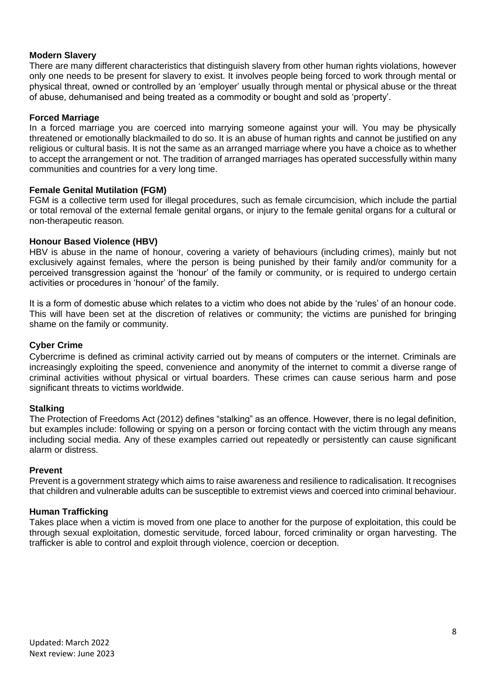#### **Modern Slavery**

There are many different characteristics that distinguish slavery from other human rights violations, however only one needs to be present for slavery to exist. It involves people being forced to work through mental or physical threat, owned or controlled by an 'employer' usually through mental or physical abuse or the threat of abuse, dehumanised and being treated as a commodity or bought and sold as 'property'.

#### **Forced Marriage**

In a forced marriage you are coerced into marrying someone against your will. You may be physically threatened or emotionally blackmailed to do so. It is an abuse of human rights and cannot be justified on any religious or cultural basis. It is not the same as an arranged marriage where you have a choice as to whether to accept the arrangement or not. The tradition of arranged marriages has operated successfully within many communities and countries for a very long time.

#### **Female Genital Mutilation (FGM)**

FGM is a collective term used for illegal procedures, such as female circumcision, which include the partial or total removal of the external female genital organs, or injury to the female genital organs for a cultural or non-therapeutic reason.

#### **Honour Based Violence (HBV)**

HBV is abuse in the name of honour, covering a variety of behaviours (including crimes), mainly but not exclusively against females, where the person is being punished by their family and/or community for a perceived transgression against the 'honour' of the family or community, or is required to undergo certain activities or procedures in 'honour' of the family.

It is a form of domestic abuse which relates to a victim who does not abide by the 'rules' of an honour code. This will have been set at the discretion of relatives or community; the victims are punished for bringing shame on the family or community.

#### **Cyber Crime**

Cybercrime is defined as criminal activity carried out by means of computers or the internet. Criminals are increasingly exploiting the speed, convenience and anonymity of the internet to commit a diverse range of criminal activities without physical or virtual boarders. These crimes can cause serious harm and pose significant threats to victims worldwide.

#### **Stalking**

The Protection of Freedoms Act (2012) defines "stalking" as an offence. However, there is no legal definition, but examples include: following or spying on a person or forcing contact with the victim through any means including social media. Any of these examples carried out repeatedly or persistently can cause significant alarm or distress.

#### **Prevent**

Prevent is a government strategy which aims to raise awareness and resilience to radicalisation. It recognises that children and vulnerable adults can be susceptible to extremist views and coerced into criminal behaviour.

#### **Human Trafficking**

Takes place when a victim is moved from one place to another for the purpose of exploitation, this could be through sexual exploitation, domestic servitude, forced labour, forced criminality or organ harvesting. The trafficker is able to control and exploit through violence, coercion or deception.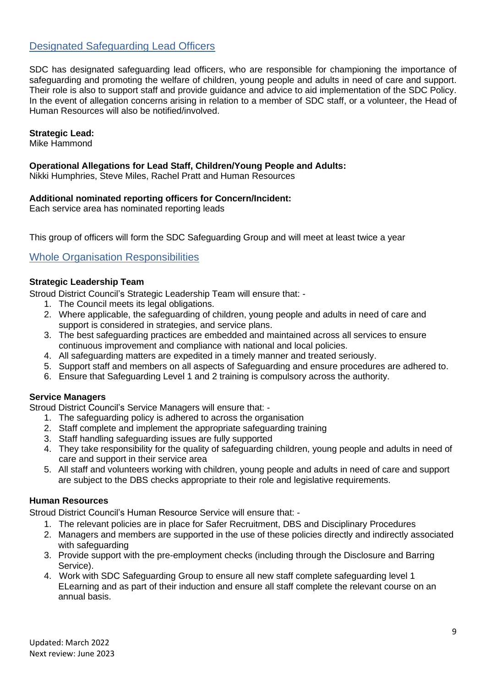# <span id="page-8-0"></span>Designated Safeguarding Lead Officers

SDC has designated safeguarding lead officers, who are responsible for championing the importance of safeguarding and promoting the welfare of children, young people and adults in need of care and support. Their role is also to support staff and provide guidance and advice to aid implementation of the SDC Policy. In the event of allegation concerns arising in relation to a member of SDC staff, or a volunteer, the Head of Human Resources will also be notified/involved.

#### **Strategic Lead:**

Mike Hammond

#### **Operational Allegations for Lead Staff, Children/Young People and Adults:**

Nikki Humphries, Steve Miles, Rachel Pratt and Human Resources

#### **Additional nominated reporting officers for Concern/Incident:**

Each service area has nominated reporting leads

This group of officers will form the SDC Safeguarding Group and will meet at least twice a year

# <span id="page-8-1"></span>Whole Organisation Responsibilities

#### **Strategic Leadership Team**

Stroud District Council's Strategic Leadership Team will ensure that: -

- 1. The Council meets its legal obligations.
- 2. Where applicable, the safeguarding of children, young people and adults in need of care and support is considered in strategies, and service plans.
- 3. The best safeguarding practices are embedded and maintained across all services to ensure continuous improvement and compliance with national and local policies.
- 4. All safeguarding matters are expedited in a timely manner and treated seriously.
- 5. Support staff and members on all aspects of Safeguarding and ensure procedures are adhered to.
- 6. Ensure that Safeguarding Level 1 and 2 training is compulsory across the authority.

#### **Service Managers**

Stroud District Council's Service Managers will ensure that: -

- 1. The safeguarding policy is adhered to across the organisation
- 2. Staff complete and implement the appropriate safeguarding training
- 3. Staff handling safeguarding issues are fully supported
- 4. They take responsibility for the quality of safeguarding children, young people and adults in need of care and support in their service area
- 5. All staff and volunteers working with children, young people and adults in need of care and support are subject to the DBS checks appropriate to their role and legislative requirements.

#### **Human Resources**

Stroud District Council's Human Resource Service will ensure that: -

- 1. The relevant policies are in place for Safer Recruitment, DBS and Disciplinary Procedures
- 2. Managers and members are supported in the use of these policies directly and indirectly associated with safeguarding
- 3. Provide support with the pre-employment checks (including through the Disclosure and Barring Service).
- 4. Work with SDC Safeguarding Group to ensure all new staff complete safeguarding level 1 ELearning and as part of their induction and ensure all staff complete the relevant course on an annual basis.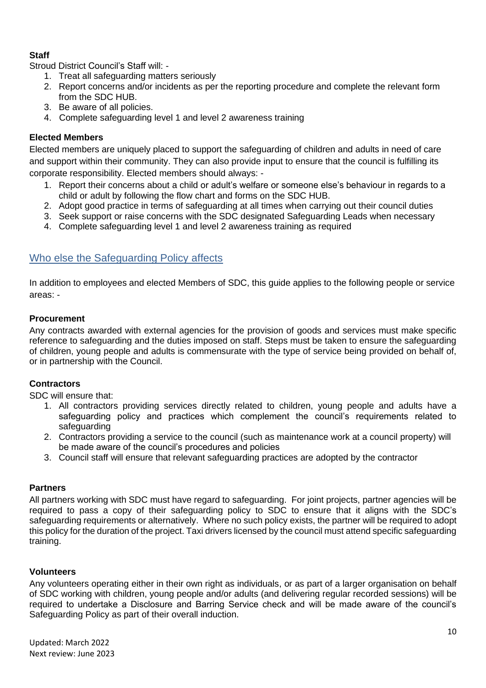# **Staff**

Stroud District Council's Staff will: -

- 1. Treat all safeguarding matters seriously
- 2. Report concerns and/or incidents as per the reporting procedure and complete the relevant form from the SDC HUB.
- 3. Be aware of all policies.
- 4. Complete safeguarding level 1 and level 2 awareness training

### **Elected Members**

Elected members are uniquely placed to support the safeguarding of children and adults in need of care and support within their community. They can also provide input to ensure that the council is fulfilling its corporate responsibility. Elected members should always: -

- 1. Report their concerns about a child or adult's welfare or someone else's behaviour in regards to a child or adult by following the flow chart and forms on the SDC HUB.
- 2. Adopt good practice in terms of safeguarding at all times when carrying out their council duties
- 3. Seek support or raise concerns with the SDC designated Safeguarding Leads when necessary
- 4. Complete safeguarding level 1 and level 2 awareness training as required

# <span id="page-9-0"></span>Who else the Safeguarding Policy affects

In addition to employees and elected Members of SDC, this guide applies to the following people or service areas: -

#### **Procurement**

Any contracts awarded with external agencies for the provision of goods and services must make specific reference to safeguarding and the duties imposed on staff. Steps must be taken to ensure the safeguarding of children, young people and adults is commensurate with the type of service being provided on behalf of, or in partnership with the Council.

#### **Contractors**

SDC will ensure that:

- 1. All contractors providing services directly related to children, young people and adults have a safeguarding policy and practices which complement the council's requirements related to safeguarding
- 2. Contractors providing a service to the council (such as maintenance work at a council property) will be made aware of the council's procedures and policies
- 3. Council staff will ensure that relevant safeguarding practices are adopted by the contractor

#### **Partners**

All partners working with SDC must have regard to safeguarding. For joint projects, partner agencies will be required to pass a copy of their safeguarding policy to SDC to ensure that it aligns with the SDC's safeguarding requirements or alternatively. Where no such policy exists, the partner will be required to adopt this policy for the duration of the project. Taxi drivers licensed by the council must attend specific safeguarding training.

#### **Volunteers**

Any volunteers operating either in their own right as individuals, or as part of a larger organisation on behalf of SDC working with children, young people and/or adults (and delivering regular recorded sessions) will be required to undertake a Disclosure and Barring Service check and will be made aware of the council's Safeguarding Policy as part of their overall induction.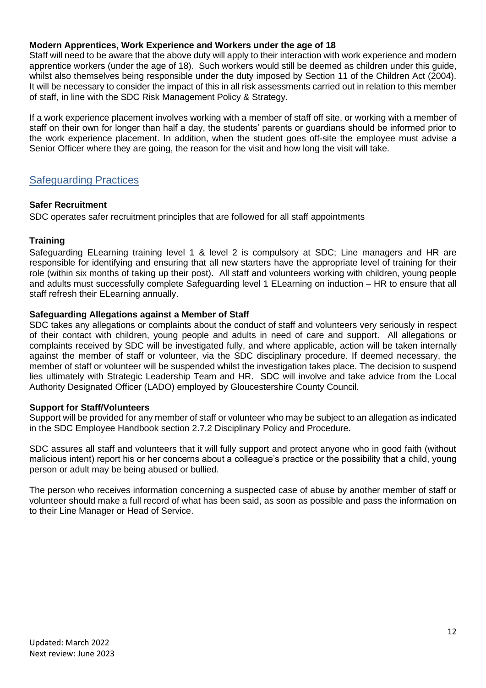#### **Modern Apprentices, Work Experience and Workers under the age of 18**

Staff will need to be aware that the above duty will apply to their interaction with work experience and modern apprentice workers (under the age of 18). Such workers would still be deemed as children under this guide, whilst also themselves being responsible under the duty imposed by Section 11 of the Children Act (2004). It will be necessary to consider the impact of this in all risk assessments carried out in relation to this member of staff, in line with the SDC Risk Management Policy & Strategy.

If a work experience placement involves working with a member of staff off site, or working with a member of staff on their own for longer than half a day, the students' parents or guardians should be informed prior to the work experience placement. In addition, when the student goes off-site the employee must advise a Senior Officer where they are going, the reason for the visit and how long the visit will take.

# <span id="page-11-0"></span>Safeguarding Practices

#### **Safer Recruitment**

SDC operates safer recruitment principles that are followed for all staff appointments

#### **Training**

Safeguarding ELearning training level 1 & level 2 is compulsory at SDC; Line managers and HR are responsible for identifying and ensuring that all new starters have the appropriate level of training for their role (within six months of taking up their post). All staff and volunteers working with children, young people and adults must successfully complete Safeguarding level 1 ELearning on induction – HR to ensure that all staff refresh their ELearning annually.

#### **Safeguarding Allegations against a Member of Staff**

SDC takes any allegations or complaints about the conduct of staff and volunteers very seriously in respect of their contact with children, young people and adults in need of care and support. All allegations or complaints received by SDC will be investigated fully, and where applicable, action will be taken internally against the member of staff or volunteer, via the SDC disciplinary procedure. If deemed necessary, the member of staff or volunteer will be suspended whilst the investigation takes place. The decision to suspend lies ultimately with Strategic Leadership Team and HR. SDC will involve and take advice from the Local Authority Designated Officer (LADO) employed by Gloucestershire County Council.

#### **Support for Staff/Volunteers**

Support will be provided for any member of staff or volunteer who may be subject to an allegation as indicated in the SDC Employee Handbook section 2.7.2 Disciplinary Policy and Procedure.

SDC assures all staff and volunteers that it will fully support and protect anyone who in good faith (without malicious intent) report his or her concerns about a colleague's practice or the possibility that a child, young person or adult may be being abused or bullied.

The person who receives information concerning a suspected case of abuse by another member of staff or volunteer should make a full record of what has been said, as soon as possible and pass the information on to their Line Manager or Head of Service.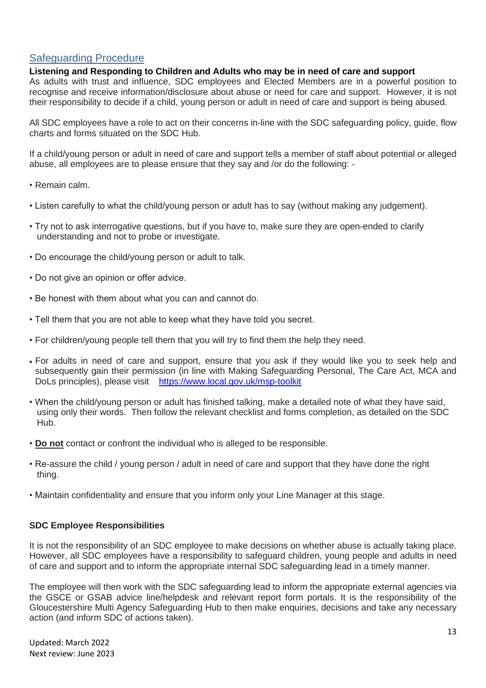# <span id="page-12-0"></span>Safeguarding Procedure

#### **Listening and Responding to Children and Adults who may be in need of care and support**

As adults with trust and influence, SDC employees and Elected Members are in a powerful position to recognise and receive information/disclosure about abuse or need for care and support. However, it is not their responsibility to decide if a child, young person or adult in need of care and support is being abused.

All SDC employees have a role to act on their concerns in-line with the SDC safeguarding policy, guide, flow charts and forms situated on the SDC Hub.

If a child/young person or adult in need of care and support tells a member of staff about potential or alleged abuse, all employees are to please ensure that they say and /or do the following: -

- Remain calm.
- Listen carefully to what the child/young person or adult has to say (without making any judgement).
- Try not to ask interrogative questions, but if you have to, make sure they are open-ended to clarify understanding and not to probe or investigate.
- Do encourage the child/young person or adult to talk.
- Do not give an opinion or offer advice.
- Be honest with them about what you can and cannot do.
- Tell them that you are not able to keep what they have told you secret.
- For children/young people tell them that you will try to find them the help they need.
- For adults in need of care and support, ensure that you ask if they would like you to seek help and subsequently gain their permission (in line with Making Safeguarding Personal, The Care Act, MCA and DoLs principles), please visit <https://www.local.gov.uk/msp-toolkit>
- When the child/young person or adult has finished talking, make a detailed note of what they have said, using only their words. Then follow the relevant checklist and forms completion, as detailed on the SDC Hub.
- **Do not** contact or confront the individual who is alleged to be responsible.
- Re-assure the child / young person / adult in need of care and support that they have done the right thing.
- Maintain confidentiality and ensure that you inform only your Line Manager at this stage.

#### **SDC Employee Responsibilities**

It is not the responsibility of an SDC employee to make decisions on whether abuse is actually taking place. However, all SDC employees have a responsibility to safeguard children, young people and adults in need of care and support and to inform the appropriate internal SDC safeguarding lead in a timely manner.

The employee will then work with the SDC safeguarding lead to inform the appropriate external agencies via the GSCE or GSAB advice line/helpdesk and relevant report form portals. It is the responsibility of the Gloucestershire Multi Agency Safeguarding Hub to then make enquiries, decisions and take any necessary action (and inform SDC of actions taken).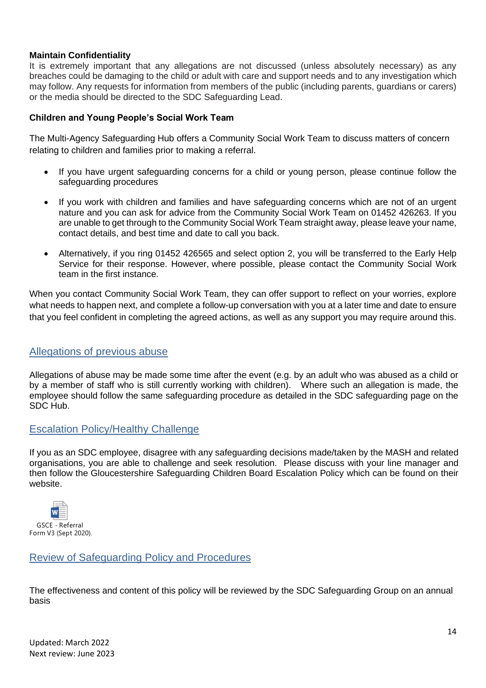#### **Maintain Confidentiality**

It is extremely important that any allegations are not discussed (unless absolutely necessary) as any breaches could be damaging to the child or adult with care and support needs and to any investigation which may follow. Any requests for information from members of the public (including parents, guardians or carers) or the media should be directed to the SDC Safeguarding Lead.

#### **Children and Young People's Social Work Team**

The Multi-Agency Safeguarding Hub offers a Community Social Work Team to discuss matters of concern relating to children and families prior to making a referral.

- If you have urgent safeguarding concerns for a child or young person, please continue follow the safeguarding procedures
- If you work with children and families and have safeguarding concerns which are not of an urgent nature and you can ask for advice from the Community Social Work Team on 01452 426263. If you are unable to get through to the Community Social Work Team straight away, please leave your name, contact details, and best time and date to call you back.
- Alternatively, if you ring 01452 426565 and select option 2, you will be transferred to the Early Help Service for their response. However, where possible, please contact the Community Social Work team in the first instance.

When you contact Community Social Work Team, they can offer support to reflect on your worries, explore what needs to happen next, and complete a follow-up conversation with you at a later time and date to ensure that you feel confident in completing the agreed actions, as well as any support you may require around this.

# <span id="page-13-0"></span>Allegations of previous abuse

Allegations of abuse may be made some time after the event (e.g. by an adult who was abused as a child or by a member of staff who is still currently working with children). Where such an allegation is made, the employee should follow the same safeguarding procedure as detailed in the SDC safeguarding page on the SDC Hub.

# <span id="page-13-1"></span>Escalation Policy/Healthy Challenge

If you as an SDC employee, disagree with any safeguarding decisions made/taken by the MASH and related organisations, you are able to challenge and seek resolution. Please discuss with your line manager and then follow the Gloucestershire Safeguarding Children Board Escalation Policy which can be found on their website.



# <span id="page-13-2"></span>Review of Safeguarding Policy and Procedures

The effectiveness and content of this policy will be reviewed by the SDC Safeguarding Group on an annual basis